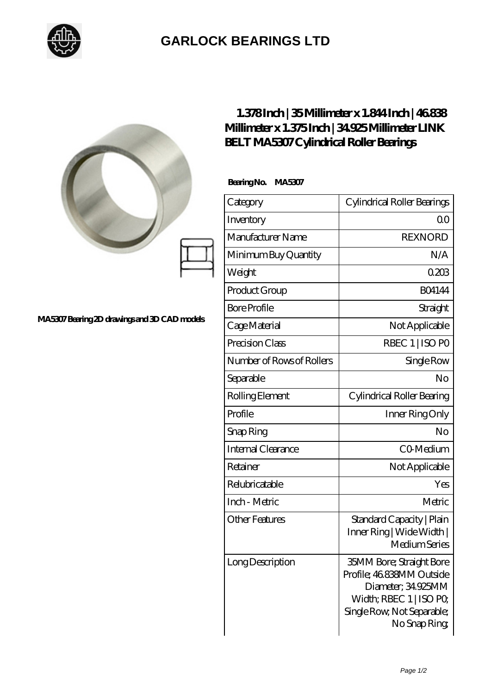

## **[GARLOCK BEARINGS LTD](https://m.letterstopriests.com)**

|                                             | 1.378Inch   35Millimeter x 1.844Inch   46838<br>Millimeter x 1.375Inch   34925Millimeter LINK<br><b>BELT MA5307 Cylindrical Roller Bearings</b> |                                                                                                                                                           |
|---------------------------------------------|-------------------------------------------------------------------------------------------------------------------------------------------------|-----------------------------------------------------------------------------------------------------------------------------------------------------------|
|                                             | BearingNo.<br><b>MA5307</b>                                                                                                                     |                                                                                                                                                           |
|                                             | Category                                                                                                                                        | Cylindrical Roller Bearings                                                                                                                               |
|                                             | Inventory                                                                                                                                       | 0 <sub>0</sub>                                                                                                                                            |
|                                             | Manufacturer Name                                                                                                                               | <b>REXNORD</b>                                                                                                                                            |
| MA5307Bearing 2D drawings and 3D CAD models | Minimum Buy Quantity                                                                                                                            | N/A                                                                                                                                                       |
|                                             | Weight                                                                                                                                          | 0203                                                                                                                                                      |
|                                             | Product Group                                                                                                                                   | <b>BO4144</b>                                                                                                                                             |
|                                             | <b>Bore Profile</b>                                                                                                                             | Straight                                                                                                                                                  |
|                                             | Cage Material                                                                                                                                   | Not Applicable                                                                                                                                            |
|                                             | Precision Class                                                                                                                                 | RBEC 1   ISO PO                                                                                                                                           |
|                                             | Number of Rows of Rollers                                                                                                                       | Single Row                                                                                                                                                |
|                                             | Separable                                                                                                                                       | No                                                                                                                                                        |
|                                             | Rolling Element                                                                                                                                 | Cylindrical Roller Bearing                                                                                                                                |
|                                             | Profile                                                                                                                                         | Inner Ring Only                                                                                                                                           |
|                                             | Snap Ring                                                                                                                                       | No                                                                                                                                                        |
|                                             | Internal Clearance                                                                                                                              | CO-Medium                                                                                                                                                 |
|                                             | Retainer                                                                                                                                        | Not Applicable                                                                                                                                            |
|                                             | Relubricatable                                                                                                                                  | Yes                                                                                                                                                       |
|                                             | Inch - Metric                                                                                                                                   | Metric                                                                                                                                                    |
|                                             | <b>Other Features</b>                                                                                                                           | Standard Capacity   Plain<br>Inner Ring   Wide Width  <br>Medium Series                                                                                   |
|                                             | Long Description                                                                                                                                | <b>35MM Bore; Straight Bore</b><br>Profile; 46838MM Outside<br>Diameter; 34.925MM<br>Width; RBEC 1   ISO PO<br>Single Row, Not Separable;<br>No Snap Ring |